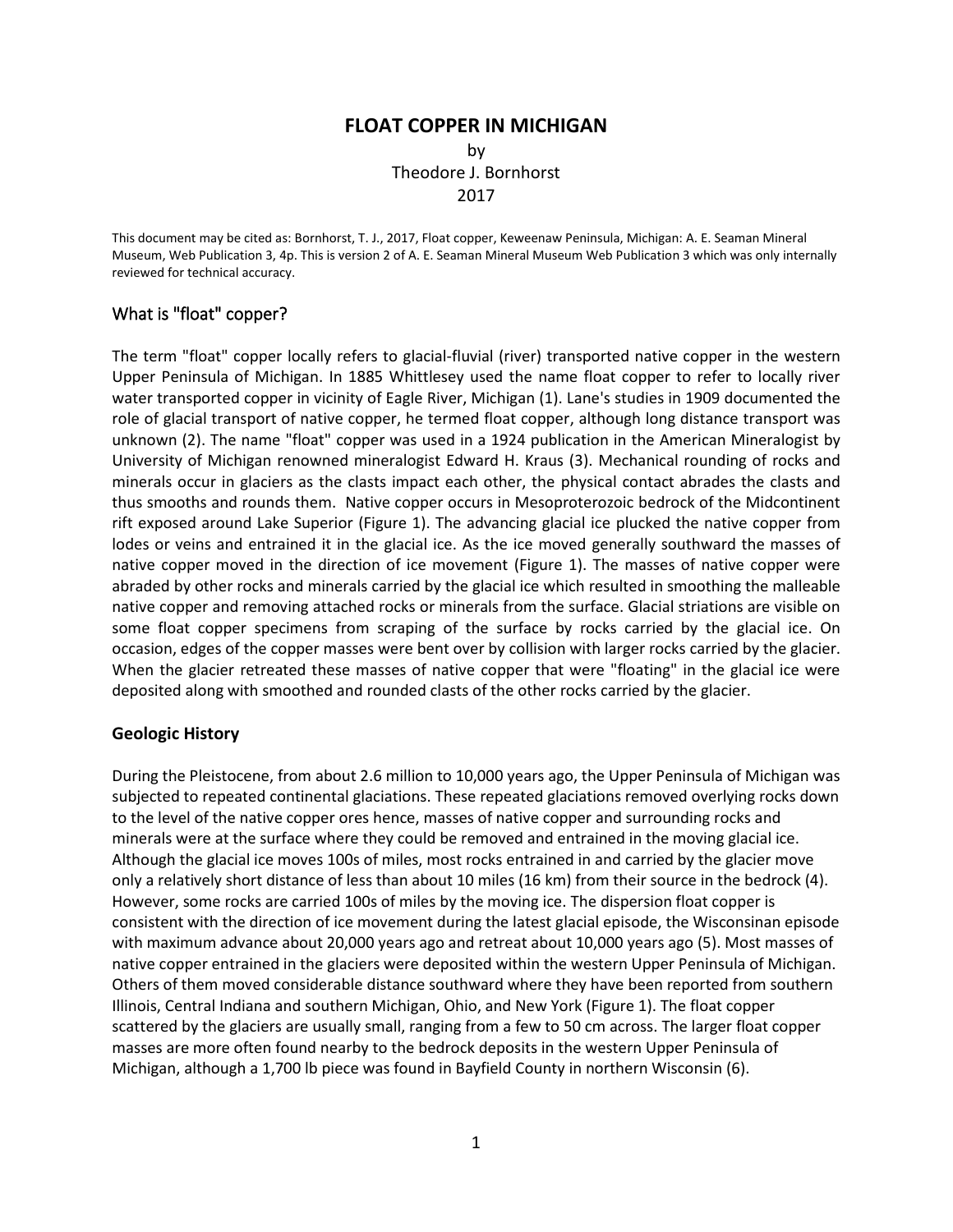## **FLOAT COPPER IN MICHIGAN** by

Theodore J. Bornhorst 2017

This document may be cited as: Bornhorst, T. J., 2017, Float copper, Keweenaw Peninsula, Michigan: A. E. Seaman Mineral Museum, Web Publication 3, 4p. This is version 2 of A. E. Seaman Mineral Museum Web Publication 3 which was only internally reviewed for technical accuracy.

## What is "float" copper?

The term "float" copper locally refers to glacial-fluvial (river) transported native copper in the western Upper Peninsula of Michigan. In 1885 Whittlesey used the name float copper to refer to locally river water transported copper in vicinity of Eagle River, Michigan (1). Lane's studies in 1909 documented the role of glacial transport of native copper, he termed float copper, although long distance transport was unknown (2). The name "float" copper was used in a 1924 publication in the American Mineralogist by University of Michigan renowned mineralogist Edward H. Kraus (3). Mechanical rounding of rocks and minerals occur in glaciers as the clasts impact each other, the physical contact abrades the clasts and thus smooths and rounds them. Native copper occurs in Mesoproterozoic bedrock of the Midcontinent rift exposed around Lake Superior (Figure 1). The advancing glacial ice plucked the native copper from lodes or veins and entrained it in the glacial ice. As the ice moved generally southward the masses of native copper moved in the direction of ice movement (Figure 1). The masses of native copper were abraded by other rocks and minerals carried by the glacial ice which resulted in smoothing the malleable native copper and removing attached rocks or minerals from the surface. Glacial striations are visible on some float copper specimens from scraping of the surface by rocks carried by the glacial ice. On occasion, edges of the copper masses were bent over by collision with larger rocks carried by the glacier. When the glacier retreated these masses of native copper that were "floating" in the glacial ice were deposited along with smoothed and rounded clasts of the other rocks carried by the glacier.

## **Geologic History**

During the Pleistocene, from about 2.6 million to 10,000 years ago, the Upper Peninsula of Michigan was subjected to repeated continental glaciations. These repeated glaciations removed overlying rocks down to the level of the native copper ores hence, masses of native copper and surrounding rocks and minerals were at the surface where they could be removed and entrained in the moving glacial ice. Although the glacial ice moves 100s of miles, most rocks entrained in and carried by the glacier move only a relatively short distance of less than about 10 miles (16 km) from their source in the bedrock (4). However, some rocks are carried 100s of miles by the moving ice. The dispersion float copper is consistent with the direction of ice movement during the latest glacial episode, the Wisconsinan episode with maximum advance about 20,000 years ago and retreat about 10,000 years ago (5). Most masses of native copper entrained in the glaciers were deposited within the western Upper Peninsula of Michigan. Others of them moved considerable distance southward where they have been reported from southern Illinois, Central Indiana and southern Michigan, Ohio, and New York (Figure 1). The float copper scattered by the glaciers are usually small, ranging from a few to 50 cm across. The larger float copper masses are more often found nearby to the bedrock deposits in the western Upper Peninsula of Michigan, although a 1,700 lb piece was found in Bayfield County in northern Wisconsin (6).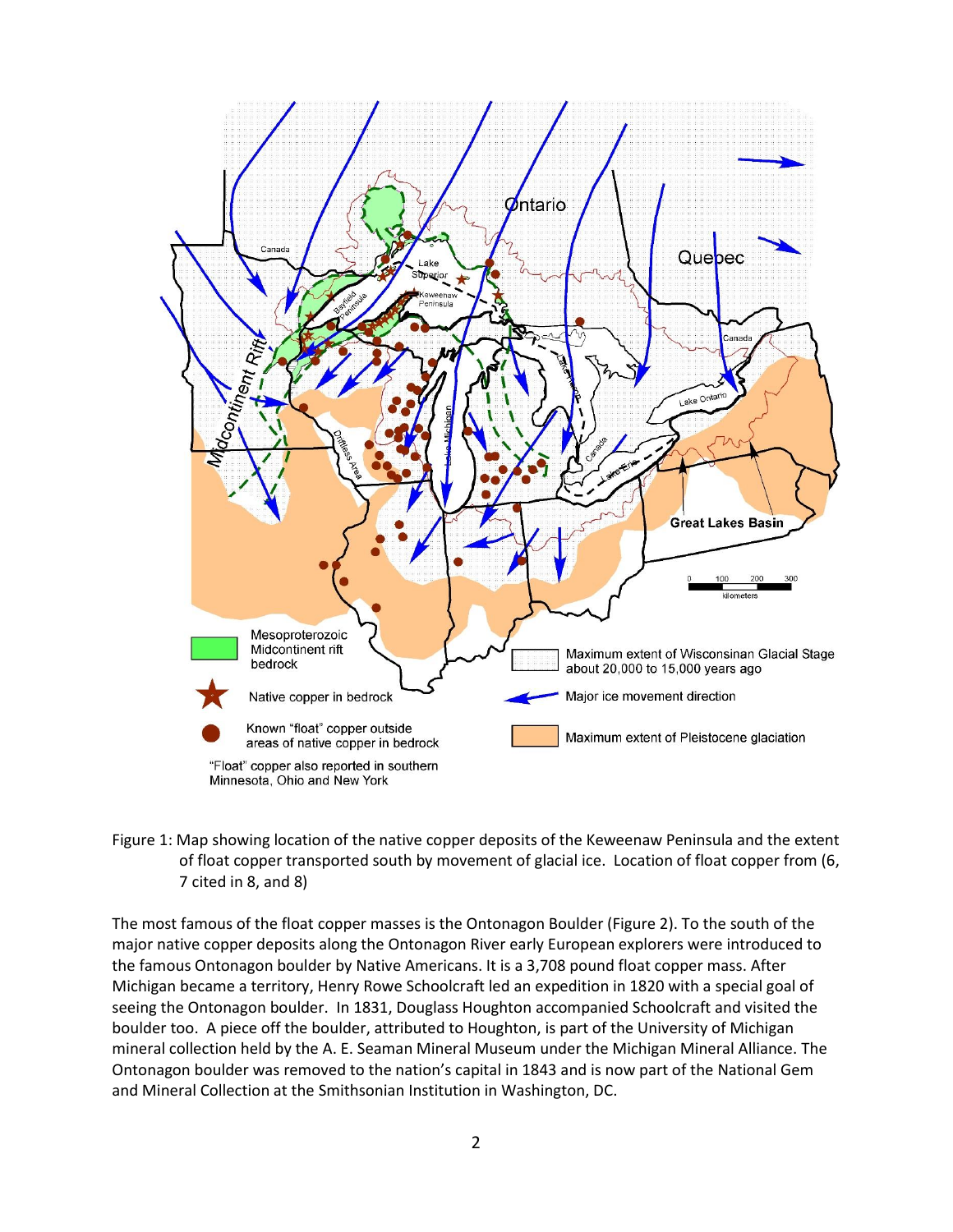

Figure 1: Map showing location of the native copper deposits of the Keweenaw Peninsula and the extent of float copper transported south by movement of glacial ice. Location of float copper from (6, 7 cited in 8, and 8)

The most famous of the float copper masses is the Ontonagon Boulder (Figure 2). To the south of the major native copper deposits along the Ontonagon River early European explorers were introduced to the famous Ontonagon boulder by Native Americans. It is a 3,708 pound float copper mass. After Michigan became a territory, Henry Rowe Schoolcraft led an expedition in 1820 with a special goal of seeing the Ontonagon boulder. In 1831, Douglass Houghton accompanied Schoolcraft and visited the boulder too. A piece off the boulder, attributed to Houghton, is part of the University of Michigan mineral collection held by the A. E. Seaman Mineral Museum under the Michigan Mineral Alliance. The Ontonagon boulder was removed to the nation's capital in 1843 and is now part of the National Gem and Mineral Collection at the Smithsonian Institution in Washington, DC.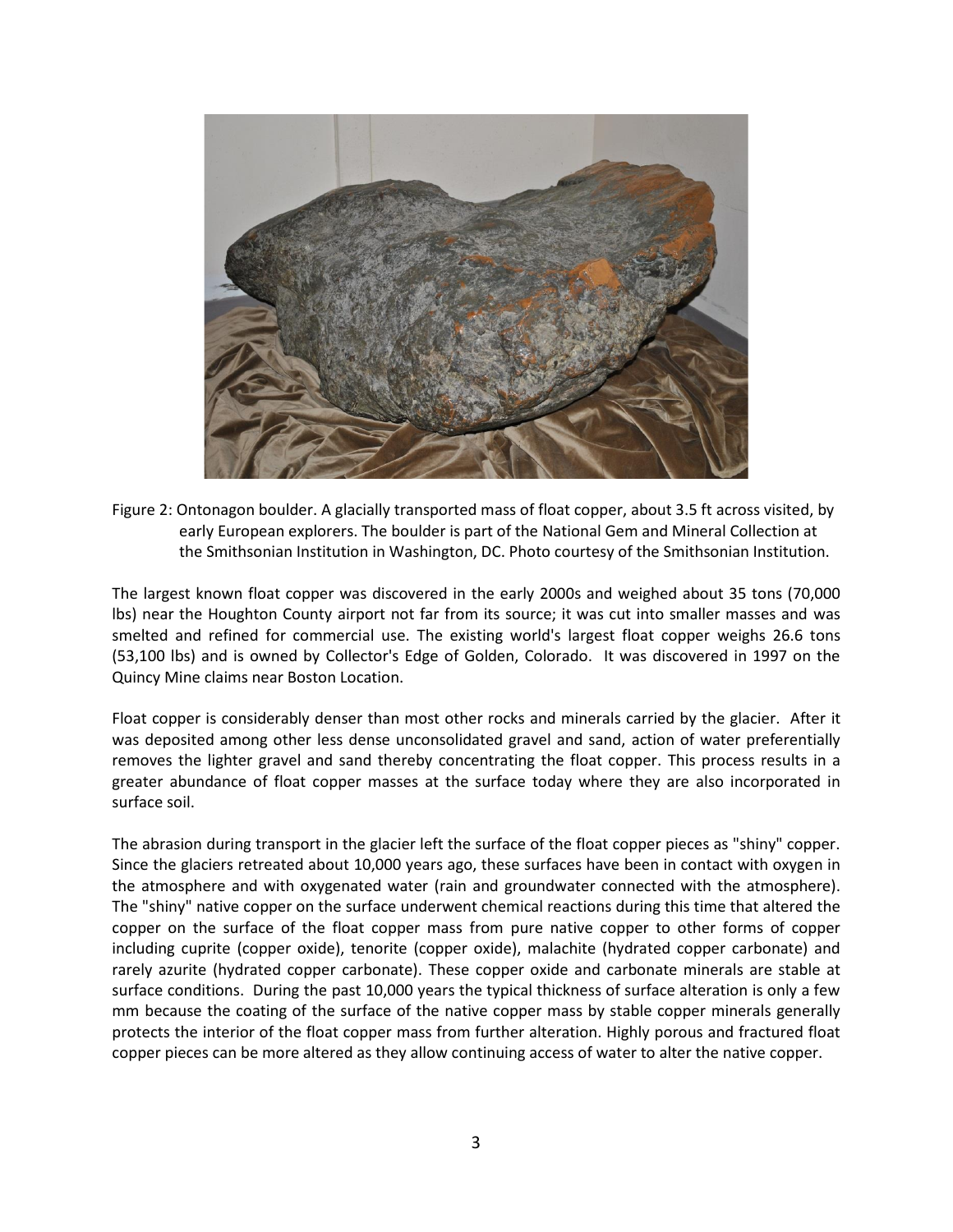

Figure 2: Ontonagon boulder. A glacially transported mass of float copper, about 3.5 ft across visited, by early European explorers. The boulder is part of the National Gem and Mineral Collection at the Smithsonian Institution in Washington, DC. Photo courtesy of the Smithsonian Institution.

The largest known float copper was discovered in the early 2000s and weighed about 35 tons (70,000 lbs) near the Houghton County airport not far from its source; it was cut into smaller masses and was smelted and refined for commercial use. The existing world's largest float copper weighs 26.6 tons (53,100 lbs) and is owned by Collector's Edge of Golden, Colorado. It was discovered in 1997 on the Quincy Mine claims near Boston Location.

Float copper is considerably denser than most other rocks and minerals carried by the glacier. After it was deposited among other less dense unconsolidated gravel and sand, action of water preferentially removes the lighter gravel and sand thereby concentrating the float copper. This process results in a greater abundance of float copper masses at the surface today where they are also incorporated in surface soil.

The abrasion during transport in the glacier left the surface of the float copper pieces as "shiny" copper. Since the glaciers retreated about 10,000 years ago, these surfaces have been in contact with oxygen in the atmosphere and with oxygenated water (rain and groundwater connected with the atmosphere). The "shiny" native copper on the surface underwent chemical reactions during this time that altered the copper on the surface of the float copper mass from pure native copper to other forms of copper including cuprite (copper oxide), tenorite (copper oxide), malachite (hydrated copper carbonate) and rarely azurite (hydrated copper carbonate). These copper oxide and carbonate minerals are stable at surface conditions. During the past 10,000 years the typical thickness of surface alteration is only a few mm because the coating of the surface of the native copper mass by stable copper minerals generally protects the interior of the float copper mass from further alteration. Highly porous and fractured float copper pieces can be more altered as they allow continuing access of water to alter the native copper.